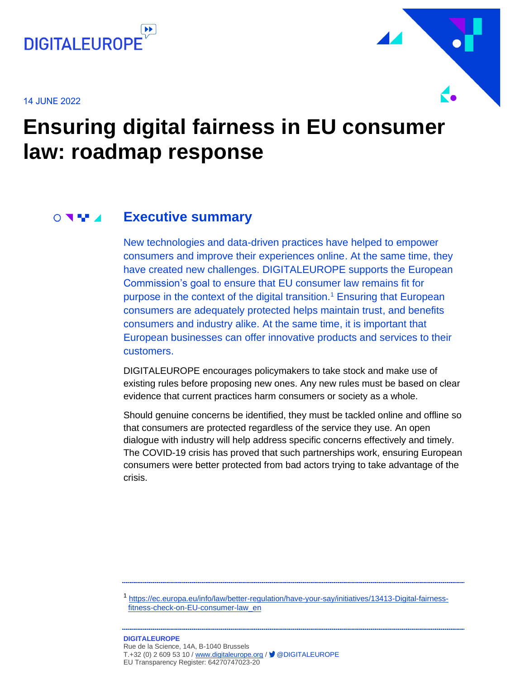

14 JUNE 2022



# **Ensuring digital fairness in EU consumer law: roadmap response**

#### **Executive summary**  $\bigcirc$  and  $\blacksquare$

<span id="page-0-0"></span>New technologies and data-driven practices have helped to empower consumers and improve their experiences online. At the same time, they have created new challenges. DIGITALEUROPE supports the European Commission's goal to ensure that EU consumer law remains fit for purpose in the context of the digital transition.<sup>1</sup> Ensuring that European consumers are adequately protected helps maintain trust, and benefits consumers and industry alike. At the same time, it is important that European businesses can offer innovative products and services to their customers.

DIGITALEUROPE encourages policymakers to take stock and make use of existing rules before proposing new ones. Any new rules must be based on clear evidence that current practices harm consumers or society as a whole.

Should genuine concerns be identified, they must be tackled online and offline so that consumers are protected regardless of the service they use. An open dialogue with industry will help address specific concerns effectively and timely. The COVID-19 crisis has proved that such partnerships work, ensuring European consumers were better protected from bad actors trying to take advantage of the crisis.

1 [https://ec.europa.eu/info/law/better-regulation/have-your-say/initiatives/13413-Digital-fairness](https://ec.europa.eu/info/law/better-regulation/have-your-say/initiatives/13413-Digital-fairness-fitness-check-on-EU-consumer-law_en)[fitness-check-on-EU-consumer-law\\_en](https://ec.europa.eu/info/law/better-regulation/have-your-say/initiatives/13413-Digital-fairness-fitness-check-on-EU-consumer-law_en)

#### **DIGITALEUROPE**  Rue de la Science, 14A, B-1040 Brussels T.+32 (0) 2 609 53 10 / [www.digitaleurope.org](http://www.digitaleurope.org/) / ■ @DIGITALEUROPE EU Transparency Register: 64270747023-20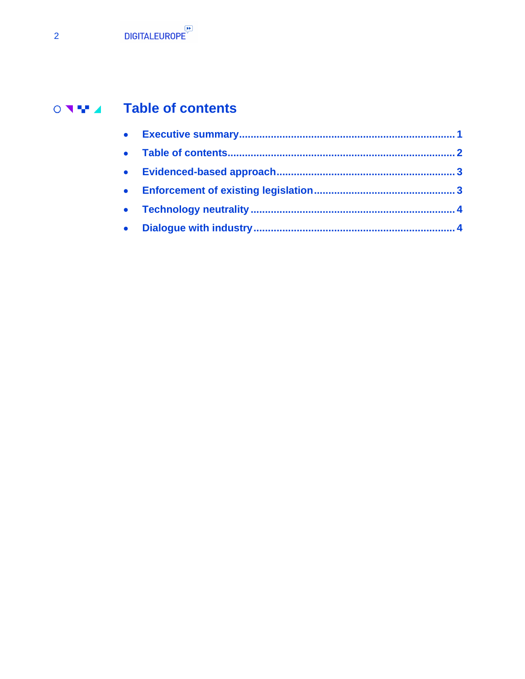# ○ 기부 4 Table of contents

<span id="page-1-1"></span><span id="page-1-0"></span>

| $\bullet$      |  |
|----------------|--|
| <b>COLLECT</b> |  |
|                |  |
|                |  |
|                |  |
|                |  |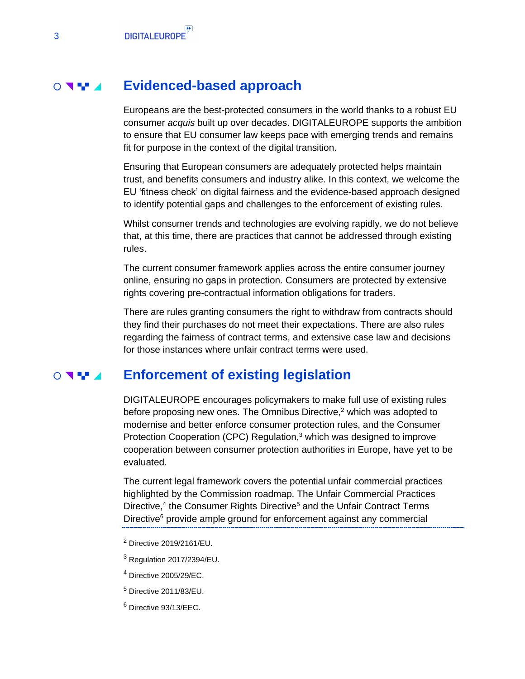#### **Evidenced-based approach**  $\circ$   $\bullet$   $\bullet$

Europeans are the best-protected consumers in the world thanks to a robust EU consumer *acquis* built up over decades. DIGITALEUROPE supports the ambition to ensure that EU consumer law keeps pace with emerging trends and remains fit for purpose in the context of the digital transition.

Ensuring that European consumers are adequately protected helps maintain trust, and benefits consumers and industry alike. In this context, we welcome the EU 'fitness check' on digital fairness and the evidence-based approach designed to identify potential gaps and challenges to the enforcement of existing rules.

Whilst consumer trends and technologies are evolving rapidly, we do not believe that, at this time, there are practices that cannot be addressed through existing rules.

The current consumer framework applies across the entire consumer journey online, ensuring no gaps in protection. Consumers are protected by extensive rights covering pre-contractual information obligations for traders.

There are rules granting consumers the right to withdraw from contracts should they find their purchases do not meet their expectations. There are also rules regarding the fairness of contract terms, and extensive case law and decisions for those instances where unfair contract terms were used.

#### **Enforcement of existing legislation**   $\circ$  and  $\bullet$

<span id="page-2-0"></span>DIGITALEUROPE encourages policymakers to make full use of existing rules before proposing new ones. The Omnibus Directive, <sup>2</sup> which was adopted to modernise and better enforce consumer protection rules, and the Consumer Protection Cooperation (CPC) Regulation, <sup>3</sup> which was designed to improve cooperation between consumer protection authorities in Europe, have yet to be evaluated.

The current legal framework covers the potential unfair commercial practices highlighted by the Commission roadmap. The Unfair Commercial Practices Directive,<sup>4</sup> the Consumer Rights Directive<sup>5</sup> and the Unfair Contract Terms Directive<sup>6</sup> provide ample ground for enforcement against any commercial

- <sup>2</sup> Directive 2019/2161/EU.
- <sup>3</sup> Regulation 2017/2394/EU.
- <sup>4</sup> Directive 2005/29/EC.
- <sup>5</sup> Directive 2011/83/EU.
- <sup>6</sup> Directive 93/13/EEC.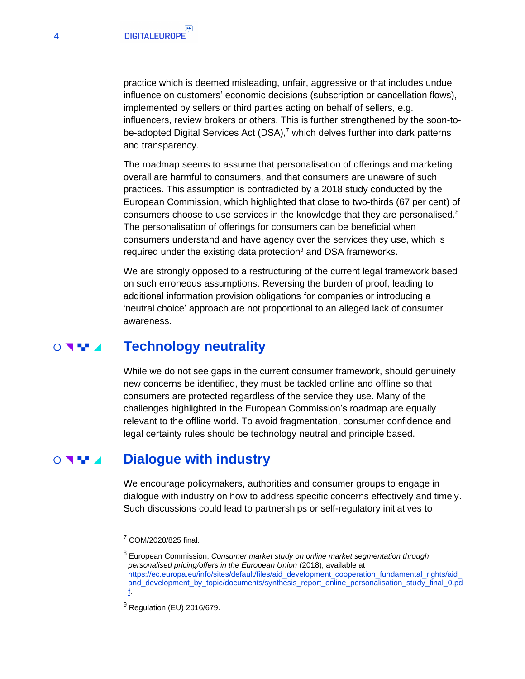practice which is deemed misleading, unfair, aggressive or that includes undue influence on customers' economic decisions (subscription or cancellation flows), implemented by sellers or third parties acting on behalf of sellers, e.g. influencers, review brokers or others. This is further strengthened by the soon-tobe-adopted Digital Services Act (DSA),<sup>7</sup> which delves further into dark patterns and transparency.

The roadmap seems to assume that personalisation of offerings and marketing overall are harmful to consumers, and that consumers are unaware of such practices. This assumption is contradicted by a 2018 study conducted by the European Commission, which highlighted that close to two-thirds (67 per cent) of consumers choose to use services in the knowledge that they are personalised. $8$ The personalisation of offerings for consumers can be beneficial when consumers understand and have agency over the services they use, which is required under the existing data protection $9$  and DSA frameworks.

We are strongly opposed to a restructuring of the current legal framework based on such erroneous assumptions. Reversing the burden of proof, leading to additional information provision obligations for companies or introducing a 'neutral choice' approach are not proportional to an alleged lack of consumer awareness.

#### **Technology neutrality**  $\circ$  and  $\bullet$

<span id="page-3-0"></span>While we do not see gaps in the current consumer framework, should genuinely new concerns be identified, they must be tackled online and offline so that consumers are protected regardless of the service they use. Many of the challenges highlighted in the European Commission's roadmap are equally relevant to the offline world. To avoid fragmentation, consumer confidence and legal certainty rules should be technology neutral and principle based.

#### **Dialogue with industry**  $\bigcirc$  and  $\bigcirc$

<span id="page-3-1"></span>We encourage policymakers, authorities and consumer groups to engage in dialogue with industry on how to address specific concerns effectively and timely. Such discussions could lead to partnerships or self-regulatory initiatives to

<sup>7</sup> COM/2020/825 final.

<sup>8</sup> European Commission, *Consumer market study on online market segmentation through personalised pricing/offers in the European Union* (2018), available at [https://ec.europa.eu/info/sites/default/files/aid\\_development\\_cooperation\\_fundamental\\_rights/aid\\_](https://ec.europa.eu/info/sites/default/files/aid_development_cooperation_fundamental_rights/aid_and_development_by_topic/documents/synthesis_report_online_personalisation_study_final_0.pdf) [and\\_development\\_by\\_topic/documents/synthesis\\_report\\_online\\_personalisation\\_study\\_final\\_0.pd](https://ec.europa.eu/info/sites/default/files/aid_development_cooperation_fundamental_rights/aid_and_development_by_topic/documents/synthesis_report_online_personalisation_study_final_0.pdf) [f.](https://ec.europa.eu/info/sites/default/files/aid_development_cooperation_fundamental_rights/aid_and_development_by_topic/documents/synthesis_report_online_personalisation_study_final_0.pdf)

<sup>&</sup>lt;sup>9</sup> Regulation (EU) 2016/679.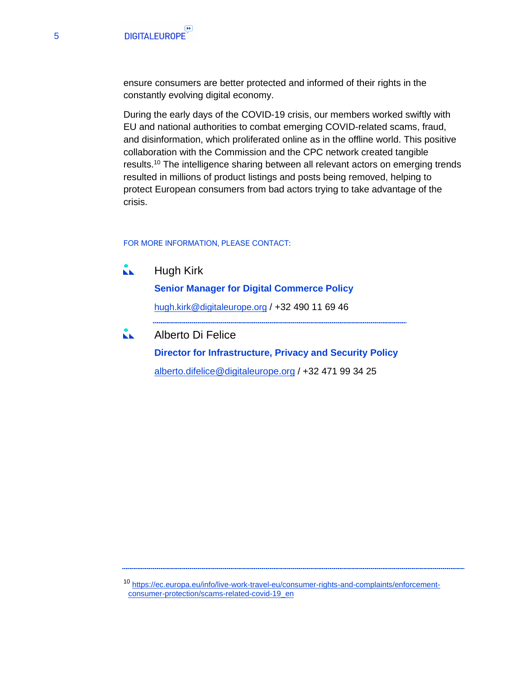ensure consumers are better protected and informed of their rights in the constantly evolving digital economy.

During the early days of the COVID-19 crisis, our members worked swiftly with EU and national authorities to combat emerging COVID-related scams, fraud, and disinformation, which proliferated online as in the offline world. This positive collaboration with the Commission and the CPC network created tangible results.<sup>10</sup> The intelligence sharing between all relevant actors on emerging trends resulted in millions of product listings and posts being removed, helping to protect European consumers from bad actors trying to take advantage of the crisis.

FOR MORE INFORMATION, PLEASE CONTACT:

KK. Hugh Kirk

**Senior Manager for Digital Commerce Policy**

[hugh.kirk@digitaleurope.org](mailto:hugh.kirk@digitaleurope.org) / +32 490 11 69 46

Alberto Di Felice KK. **Director for Infrastructure, Privacy and Security Policy** [alberto.difelice@digitaleurope.org](mailto:alberto.difelice@digitaleurope.org) / +32 471 99 34 25

<sup>10</sup> [https://ec.europa.eu/info/live-work-travel-eu/consumer-rights-and-complaints/enforcement](https://ec.europa.eu/info/live-work-travel-eu/consumer-rights-and-complaints/enforcement-consumer-protection/scams-related-covid-19_en)[consumer-protection/scams-related-covid-19\\_en](https://ec.europa.eu/info/live-work-travel-eu/consumer-rights-and-complaints/enforcement-consumer-protection/scams-related-covid-19_en)